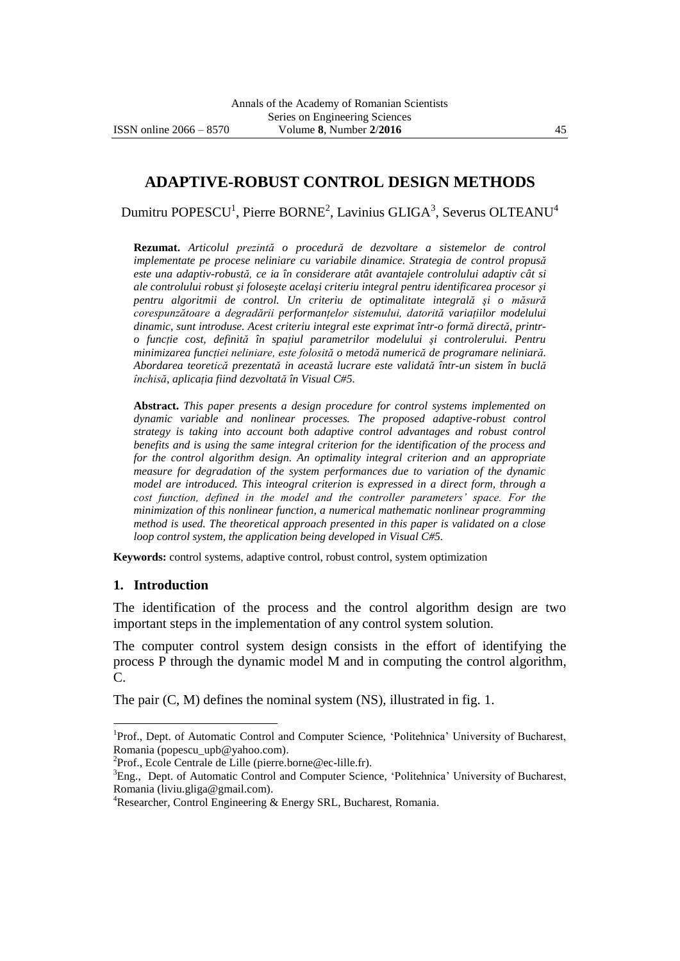# **ADAPTIVE-ROBUST CONTROL DESIGN METHODS**

Dumitru POPESCU<sup>1</sup>, Pierre BORNE<sup>2</sup>, Lavinius GLIGA<sup>3</sup>, Severus OLTEANU<sup>4</sup>

**Rezumat.** *Articolul prezintă o procedură de dezvoltare a sistemelor de control implementate pe procese neliniare cu variabile dinamice. Strategia de control propusă este una adaptiv-robustă, ce ia în considerare atât avantajele controlului adaptiv cât si ale controlului robust şi foloseşte acelaşi criteriu integral pentru identificarea procesor şi pentru algoritmii de control. Un criteriu de optimalitate integrală şi o măsură corespunzătoare a degradării performanţelor sistemului, datorită variaţiilor modelului dinamic, sunt introduse. Acest criteriu integral este exprimat într-o formă directă, printro funcţie cost, definită în spaţiul parametrilor modelului şi controlerului. Pentru minimizarea funcţiei neliniare, este folosită o metodă numerică de programare neliniară. Abordarea teoretică prezentată in această lucrare este validată într-un sistem în buclă închisă, aplicaţia fiind dezvoltată în Visual C#5.*

**Abstract.** *This paper presents a design procedure for control systems implemented on dynamic variable and nonlinear processes. The proposed adaptive-robust control strategy is taking into account both adaptive control advantages and robust control benefits and is using the same integral criterion for the identification of the process and for the control algorithm design. An optimality integral criterion and an appropriate measure for degradation of the system performances due to variation of the dynamic model are introduced. This inteogral criterion is expressed in a direct form, through a cost function, defined in the model and the controller parameters' space. For the minimization of this nonlinear function, a numerical mathematic nonlinear programming method is used. The theoretical approach presented in this paper is validated on a close loop control system, the application being developed in Visual C#5.*

**Keywords:** control systems, adaptive control, robust control, system optimization

#### **1. Introduction**

 $\overline{a}$ 

The identification of the process and the control algorithm design are two important steps in the implementation of any control system solution.

The computer control system design consists in the effort of identifying the process P through the dynamic model M and in computing the control algorithm, C.

The pair (C, M) defines the nominal system (NS), illustrated in fig. 1.

<sup>&</sup>lt;sup>1</sup>Prof., Dept. of Automatic Control and Computer Science, 'Politehnica' University of Bucharest, Romania (popescu\_upb@yahoo.com).

<sup>&</sup>lt;sup>2</sup>Prof., Ecole Centrale de Lille (pierre.borne@ec-lille.fr).

<sup>&</sup>lt;sup>3</sup>Eng., Dept. of Automatic Control and Computer Science, 'Politehnica' University of Bucharest, Romania (liviu.gliga@gmail.com).

<sup>4</sup>Researcher, Control Engineering & Energy SRL, Bucharest, Romania.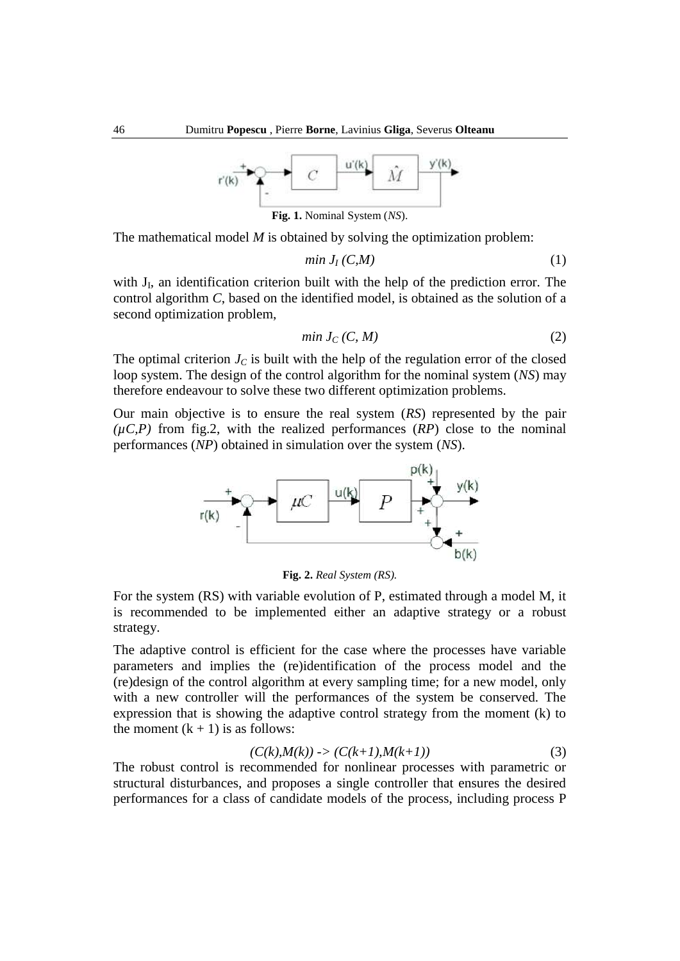

The mathematical model *M* is obtained by solving the optimization problem:

$$
min J_I (C,M) \tag{1}
$$

with  $J_I$ , an identification criterion built with the help of the prediction error. The control algorithm *C*, based on the identified model, is obtained as the solution of a second optimization problem,

$$
min J_C(C, M) \tag{2}
$$

The optimal criterion  $J_C$  is built with the help of the regulation error of the closed loop system. The design of the control algorithm for the nominal system (*NS*) may therefore endeavour to solve these two different optimization problems.

Our main objective is to ensure the real system (*RS*) represented by the pair  $(\mu C, P)$  from fig.2, with the realized performances  $(RP)$  close to the nominal performances (*NP*) obtained in simulation over the system (*NS*).



**Fig. 2.** *Real System (RS).*

For the system (RS) with variable evolution of P, estimated through a model M, it is recommended to be implemented either an adaptive strategy or a robust strategy.

The adaptive control is efficient for the case where the processes have variable parameters and implies the (re)identification of the process model and the (re)design of the control algorithm at every sampling time; for a new model, only with a new controller will the performances of the system be conserved. The expression that is showing the adaptive control strategy from the moment (k) to the moment  $(k + 1)$  is as follows:

$$
(C(k), M(k)) \to (C(k+1), M(k+1)) \tag{3}
$$

The robust control is recommended for nonlinear processes with parametric or structural disturbances, and proposes a single controller that ensures the desired performances for a class of candidate models of the process, including process P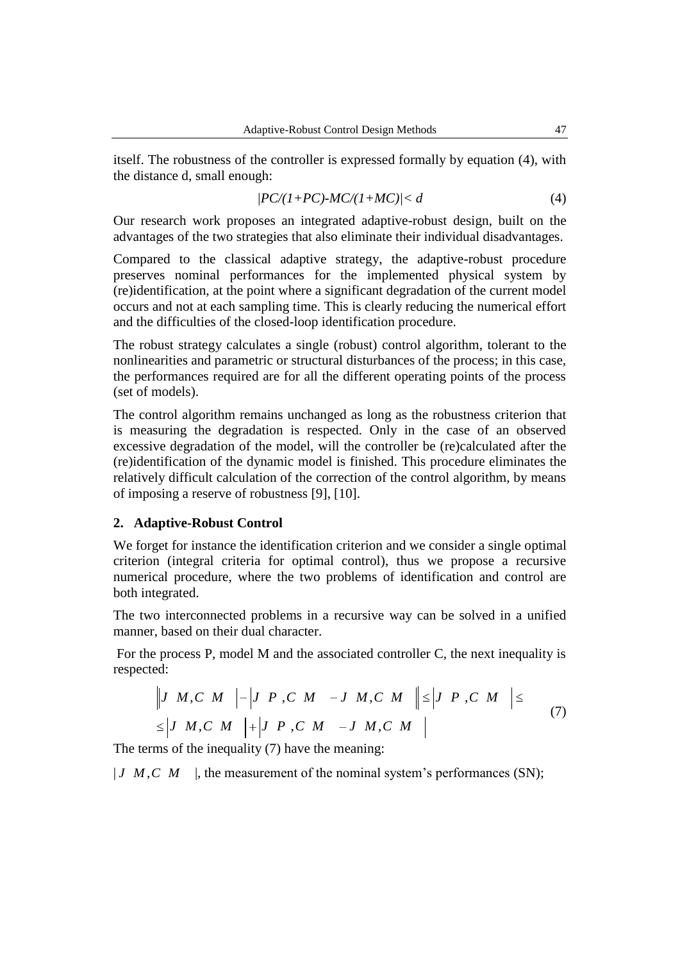itself. The robustness of the controller is expressed formally by equation (4), with the distance d, small enough:

$$
|PC/(1+PC)\text{-}MC/(1+MC)|< d\tag{4}
$$

Our research work proposes an integrated adaptive-robust design, built on the advantages of the two strategies that also eliminate their individual disadvantages.

Compared to the classical adaptive strategy, the adaptive-robust procedure preserves nominal performances for the implemented physical system by (re)identification, at the point where a significant degradation of the current model occurs and not at each sampling time. This is clearly reducing the numerical effort and the difficulties of the closed-loop identification procedure.

The robust strategy calculates a single (robust) control algorithm, tolerant to the nonlinearities and parametric or structural disturbances of the process; in this case, the performances required are for all the different operating points of the process (set of models).

The control algorithm remains unchanged as long as the robustness criterion that is measuring the degradation is respected. Only in the case of an observed excessive degradation of the model, will the controller be (re)calculated after the (re)identification of the dynamic model is finished. This procedure eliminates the relatively difficult calculation of the correction of the control algorithm, by means of imposing a reserve of robustness [9], [10].

#### **2. Adaptive-Robust Control**

We forget for instance the identification criterion and we consider a single optimal criterion (integral criteria for optimal control), thus we propose a recursive numerical procedure, where the two problems of identification and control are both integrated.

The two interconnected problems in a recursive way can be solved in a unified manner, based on their dual character.

For the process P, model M and the associated controller C, the next inequality is espected:<br>  $\left\|J \ M, C \ M \ \right| - \left|J \ P, C \ M \ -J \ M, C \ M \ \right| \leq \left|J \ P, C \ M \right| \leq \qquad (7)$ respected:

$$
\begin{vmatrix} J & M, C & M \\ \leq & |J & M, C & M \end{vmatrix} = \begin{vmatrix} J & P & C & M \\ \leq & |J & M, C & M \end{vmatrix} + \begin{vmatrix} J & P & C & M \\ \leq & M & -J & M, C & M \\ \leq & M & |J & M, C & M \end{vmatrix}
$$
 (7)

The terms of the inequality (7) have the meaning:

 $|J \ M, C \ M|$ , the measurement of the nominal system's performances (SN);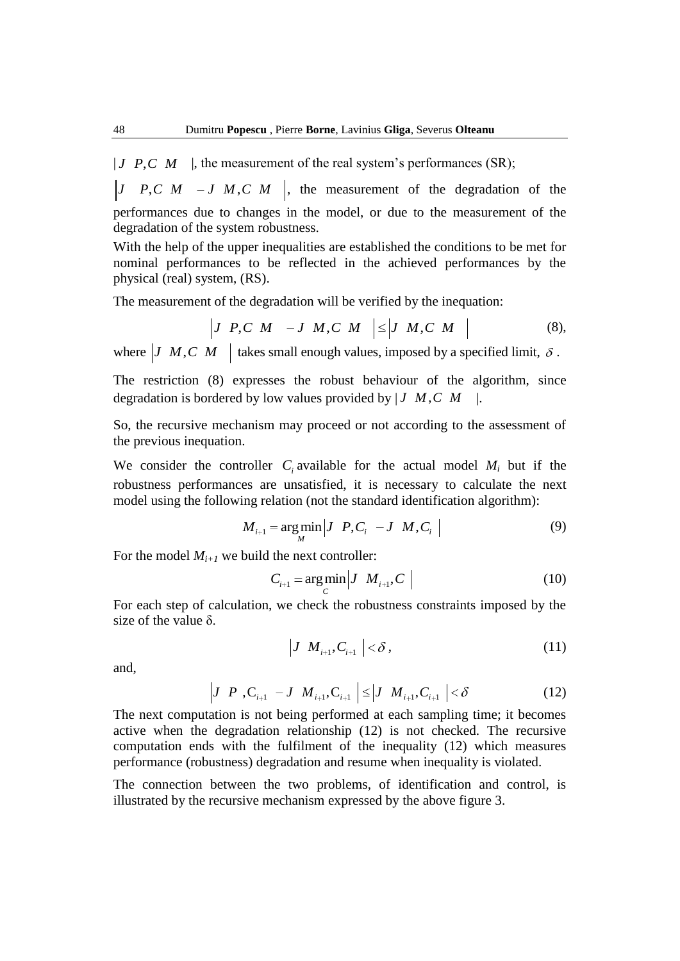$|J \ P, C \ M$  , the measurement of the real system's performances (SR);

*J P,C M – J M,C M* |, the measurement of the degradation of the performances due to changes in the model, or due to the measurement of the degradation of the system robustness.

With the help of the upper inequalities are established the conditions to be met for nominal performances to be reflected in the achieved performances by the physical (real) system, (RS).

The measurement of the degradation will be verified by the inequation:  
\n
$$
\begin{vmatrix}\nJ & P, C & M & -J & M, C & M\n\end{vmatrix}\n\leq\n\begin{vmatrix}\nJ & M, C & M\n\end{vmatrix}
$$
\n(8),

where  $|J \ M, C \ M|$  takes small enough values, imposed by a specified limit,  $\delta$ .

The restriction (8) expresses the robust behaviour of the algorithm, since degradation is bordered by low values provided by | *J M C M* , |.

So, the recursive mechanism may proceed or not according to the assessment of the previous inequation.

We consider the controller  $C_i$  available for the actual model  $M_i$  but if the robustness performances are unsatisfied, it is necessary to calculate the next model using the following relation (not the standard identification algorithm):<br> $M_{i+1} = \arg \min |J \ P, C_i \ -J \ M, C_i |$ 

$$
M_{i+1} = \underset{M}{\arg \min} \left| J \ P, C_i \ -J \ M, C_i \ \right| \tag{9}
$$

For the model  $M_{i+1}$  we build the next controller:

$$
C_{i+1} = \underset{C}{\arg\min} \left| J \ M_{i+1}, C \ \right| \tag{10}
$$

For each step of calculation, we check the robustness constraints imposed by the size of the value  $\delta$ .

$$
\left|J \ M_{_{i+1}}, C_{_{i+1}} \right| < \delta \,, \tag{11}
$$

and,

$$
\left|J \ P \ C_{i+1} \ -J \ M_{i+1}, C_{i+1} \ \right| \leq \left|J \ M_{i+1}, C_{i+1} \ \right| < \delta \tag{12}
$$

The next computation is not being performed at each sampling time; it becomes active when the degradation relationship (12) is not checked. The recursive computation ends with the fulfilment of the inequality (12) which measures performance (robustness) degradation and resume when inequality is violated.

The connection between the two problems, of identification and control, is illustrated by the recursive mechanism expressed by the above figure 3.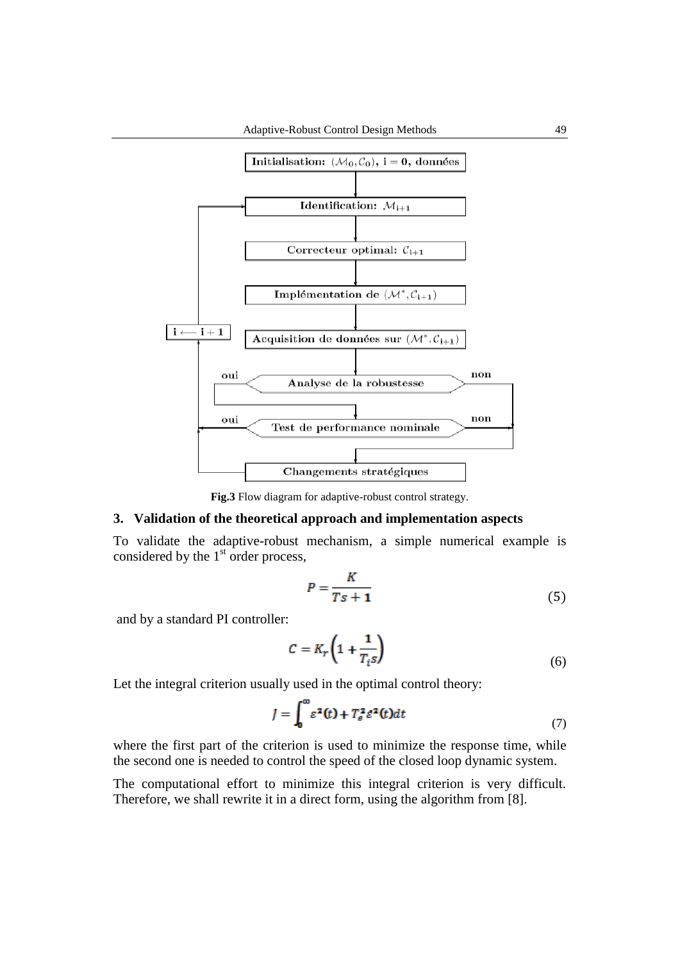

**Fig.3** Flow diagram for adaptive-robust control strategy.

### **3. Validation of the theoretical approach and implementation aspects**

To validate the adaptive-robust mechanism, a simple numerical example is considered by the 1<sup>st</sup> order process,

$$
P = \frac{K}{Ts + 1} \tag{5}
$$

and by a standard PI controller:

$$
C = K_r \left( 1 + \frac{1}{T_i s} \right) \tag{6}
$$

Let the integral criterion usually used in the optimal control theory:

$$
J = \int_0^\infty \varepsilon^2(t) + T_\varepsilon^2 \varepsilon^2(t) dt \tag{7}
$$

where the first part of the criterion is used to minimize the response time, while the second one is needed to control the speed of the closed loop dynamic system.

The computational effort to minimize this integral criterion is very difficult. Therefore, we shall rewrite it in a direct form, using the algorithm from [8].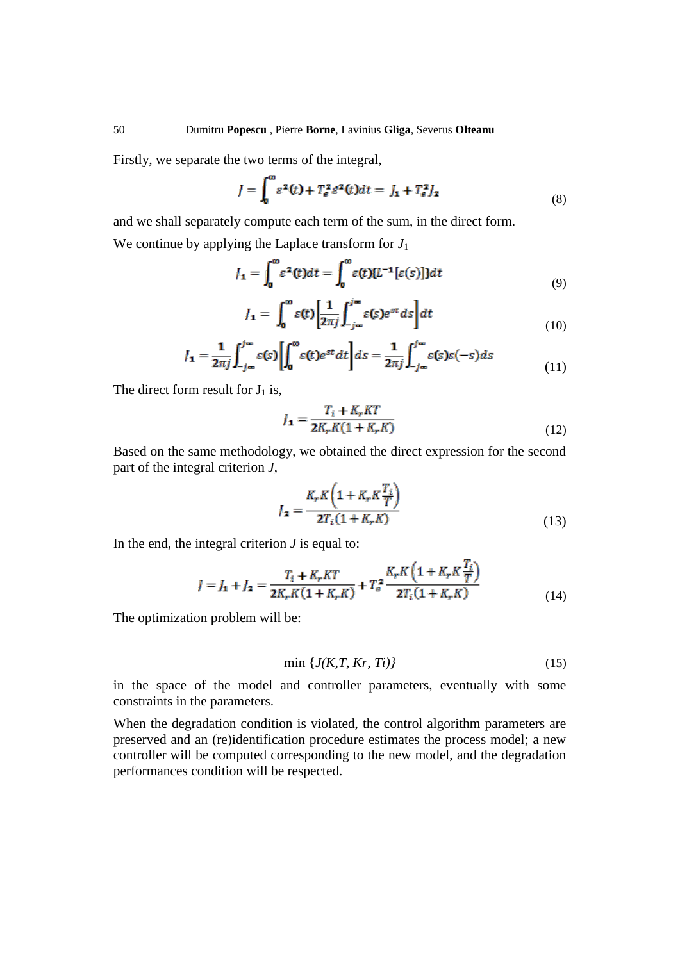Firstly, we separate the two terms of the integral,

$$
J = \int_0^\infty \varepsilon^2(t) + T_\varepsilon^2 \varepsilon^2(t) dt = J_1 + T_\varepsilon^2 J_2 \tag{8}
$$

and we shall separately compute each term of the sum, in the direct form.

We continue by applying the Laplace transform for  $J_1$ 

$$
J_{\mathbf{1}} = \int_0^\infty \varepsilon^2(t)dt = \int_0^\infty \varepsilon(t)\{L^{-1}[\varepsilon(s)]\}dt
$$
\n(9)

$$
J_{\mathbf{1}} = \int_{0}^{\infty} \varepsilon(t) \left[ \frac{1}{2\pi j} \int_{-j\infty}^{j\infty} \varepsilon(s) e^{st} ds \right] dt \tag{10}
$$

$$
J_{\mathbf{1}} = \frac{1}{2\pi j} \int_{-j\infty}^{j\infty} \varepsilon(s) \left[ \int_{0}^{\infty} \varepsilon(t) e^{st} dt \right] ds = \frac{1}{2\pi j} \int_{-j\infty}^{j\infty} \varepsilon(s) \varepsilon(-s) ds \tag{11}
$$

The direct form result for  $J_1$  is,

$$
J_{\mathbf{1}} = \frac{T_i + K_r KT}{2K_r K (1 + K_r K)}
$$
(12)

Based on the same methodology, we obtained the direct expression for the second part of the integral criterion *J*,

$$
J_{\mathbf{z}} = \frac{K_r K \left( 1 + K_r K \frac{T_i}{T} \right)}{2T_i (1 + K_r K)}
$$
(13)

m.

In the end, the integral criterion *J* is equal to:

$$
J = J_{1} + J_{2} = \frac{T_{i} + K_{r}KT}{2K_{r}K(1 + K_{r}K)} + T_{e}^{2} \frac{K_{r}K\left(1 + K_{r}K\frac{I_{i}}{T}\right)}{2T_{i}(1 + K_{r}K)}
$$
(14)

The optimization problem will be:

$$
\min \left\{ J(K, T, Kr, Ti) \right\} \tag{15}
$$

in the space of the model and controller parameters, eventually with some constraints in the parameters.

When the degradation condition is violated, the control algorithm parameters are preserved and an (re)identification procedure estimates the process model; a new controller will be computed corresponding to the new model, and the degradation performances condition will be respected.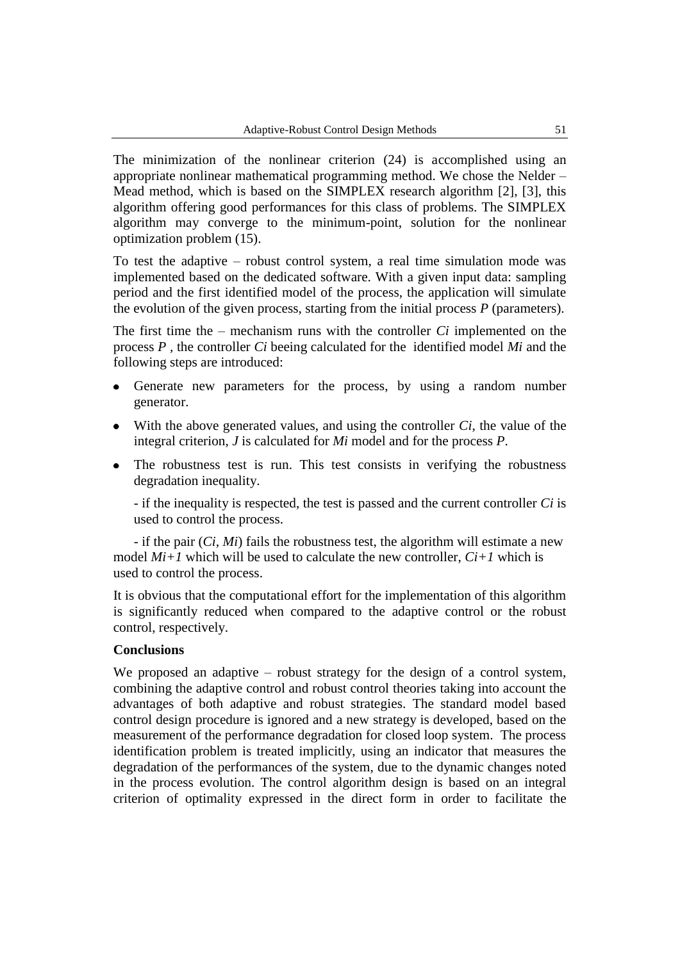The minimization of the nonlinear criterion (24) is accomplished using an appropriate nonlinear mathematical programming method. We chose the Nelder – Mead method, which is based on the SIMPLEX research algorithm [2], [3], this algorithm offering good performances for this class of problems. The SIMPLEX algorithm may converge to the minimum-point, solution for the nonlinear optimization problem (15).

To test the adaptive – robust control system, a real time simulation mode was implemented based on the dedicated software. With a given input data: sampling period and the first identified model of the process, the application will simulate the evolution of the given process, starting from the initial process *P* (parameters).

The first time the – mechanism runs with the controller *Ci* implemented on the process *P ,* the controller *Ci* beeing calculated for the identified model *Mi* and the following steps are introduced:

- $\bullet$ Generate new parameters for the process, by using a random number generator.
- With the above generated values, and using the controller *Ci*, the value of the integral criterion, *J* is calculated for *Mi* model and for the process *P*.
- The robustness test is run. This test consists in verifying the robustness  $\bullet$ degradation inequality.

- if the inequality is respected, the test is passed and the current controller *Ci* is used to control the process.

- if the pair (*Ci, Mi*) fails the robustness test, the algorithm will estimate a new model  $Mi+1$  which will be used to calculate the new controller,  $Ci+1$  which is used to control the process.

It is obvious that the computational effort for the implementation of this algorithm is significantly reduced when compared to the adaptive control or the robust control, respectively.

#### **Conclusions**

We proposed an adaptive – robust strategy for the design of a control system, combining the adaptive control and robust control theories taking into account the advantages of both adaptive and robust strategies. The standard model based control design procedure is ignored and a new strategy is developed, based on the measurement of the performance degradation for closed loop system. The process identification problem is treated implicitly, using an indicator that measures the degradation of the performances of the system, due to the dynamic changes noted in the process evolution. The control algorithm design is based on an integral criterion of optimality expressed in the direct form in order to facilitate the